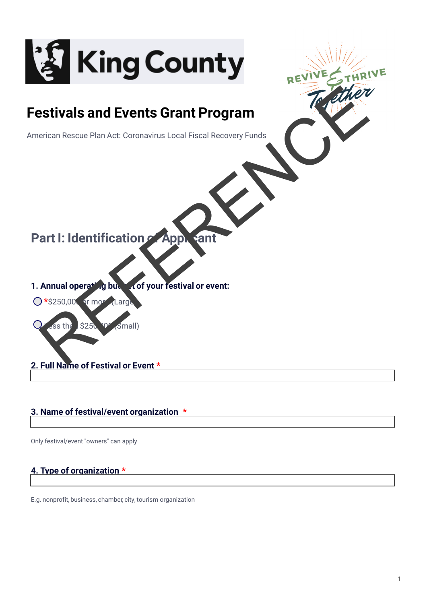

# **Festivals and Events Grant Program**

American Rescue Plan Act: Coronavirus Local Fiscal Recovery Funds

# **Part I: Identification of Applicant**

- **1. Annual operating budget of your restival or event:**
- **O** \*\$250,000 or more (Large
- $$25$ Estivals and Events Grant Program<br>
Perican Rescue Plan Act: Coronavirus Local Fiscal Recovery Funds<br>
Annual operation of Apple and Contract Coronavirus Local Fiscal Recovery Funds<br>
Annual operation of Box Action Coronaviru
- **2. Full Name of Festival or Event \***

## **3. Name of festival/event organization \***

Only festival/event "owners" can apply

## **4. Type of organization \***

E.g. nonprofit, business, chamber, city, tourism organization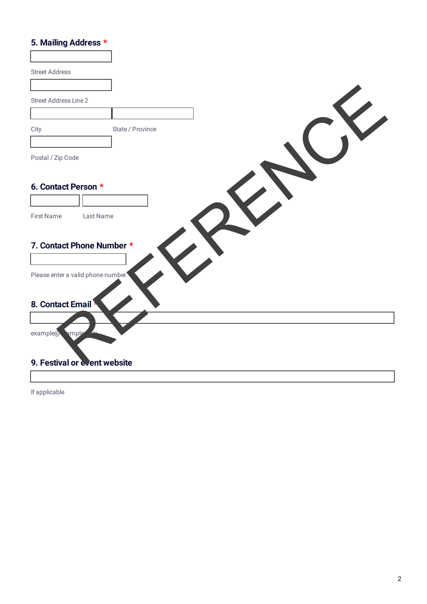# **5. Mailing Address \***

| <b>Street Address</b>              |                  |  |  |
|------------------------------------|------------------|--|--|
|                                    |                  |  |  |
| Street Address Line 2              |                  |  |  |
|                                    |                  |  |  |
| City                               | State / Province |  |  |
|                                    |                  |  |  |
| Postal / Zip Code                  |                  |  |  |
|                                    |                  |  |  |
| 6. Contact Person *                |                  |  |  |
|                                    |                  |  |  |
| <b>First Name</b><br>Last Name     |                  |  |  |
|                                    |                  |  |  |
| 7. Contact Phone Number *          |                  |  |  |
|                                    |                  |  |  |
| Please enter a valid phone number. |                  |  |  |
|                                    |                  |  |  |
| 8. Contact Email                   |                  |  |  |
|                                    |                  |  |  |
| example@wmple                      |                  |  |  |
|                                    |                  |  |  |
| 9. Festival or event website       |                  |  |  |
|                                    |                  |  |  |

If applicable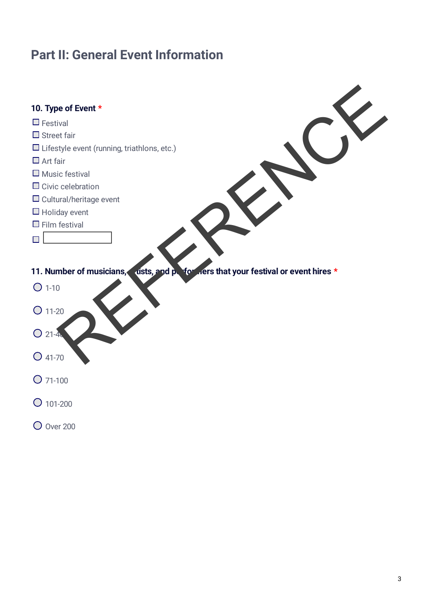# **Part II: General Event Information**

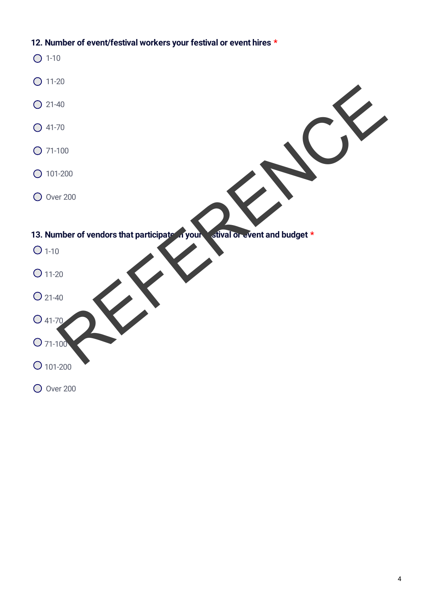## **12. Number of event/festival workers your festival or event hires \***

 $O$  1-10  $O$  11-20 21-40 41-70 71-100 101-200 **O** Over 200 **13. Number of vendors that participate in your festival or event and budget \***  $O 1-10$  $O$  11-20  $O$  21-40 41-70 71-100 101-200 **O** Over 200 The r of vendors that participate ryour state and budget \*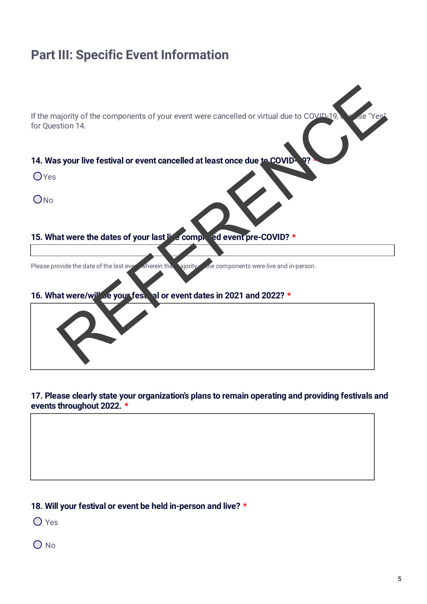# **Part III: Specific Event Information**

If the majority of the components of your event were cancelled or virtual due to COVID-19. for Question 14. Report of the components of your event were cancelled or virtual due to COVID-19.<br>Sixten 14.<br>Sixten and the leader of your last incomponents were the control of the leader of the leader of your last incomponents were live

#### **14. Was your live festival or event cancelled at least once due to COVID**

**O**Yes

 $O$ <sub>No</sub>

#### **15. What were the dates of your last live completed event pre-COVID? \***

Please provide the date of the last even wherein the majority of the components were live and in-person.

#### **16. What were/will be your festival or event dates in 2021 and 2022? \***



#### **17. Please clearly state your organization's plans to remain operating and providing festivals and events throughout 2022. \***

#### **18. Will your festival or event be held in-person and live? \***

O Yes

 $O$  No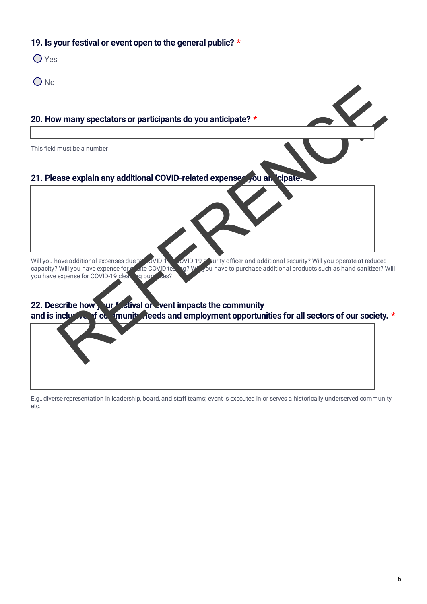### **19. Is your festival or event open to the general public? \***

- O Yes
- O<sub>No</sub>

#### **20. How many spectators or participants do you anticipate? \***

This field must be a number

# **21. Please explain any additional COVID-related expenses you anticipate. \***

Will you have additional expenses due to COVID-19 security officer and additional security? Will you operate at reduced<br>COVID-19 security ou have to purchase additional products such as hand sanitizer? Will you have expens g? W<sup>ill</sup> you have to purchase additional products such as hand sanitizer? Will you have expense for COVID-19 cleaning purposes?

# **22. Describe how yur festival or event impacts the community** and is inclusive of community needs and employment opportunities for all sectors of our society. **\*** W many spectators or participants do you anticipate?<br>
Residentified number<br>
Referred contains any additional COVID-related expense you and chipater<br>
Will you have expense to COVID-19<br>
Will you have expense to COVID-19<br>
Ser

E.g., diverse representation in leadership, board, and staff teams; event is executed in or serves a historically underserved community, etc.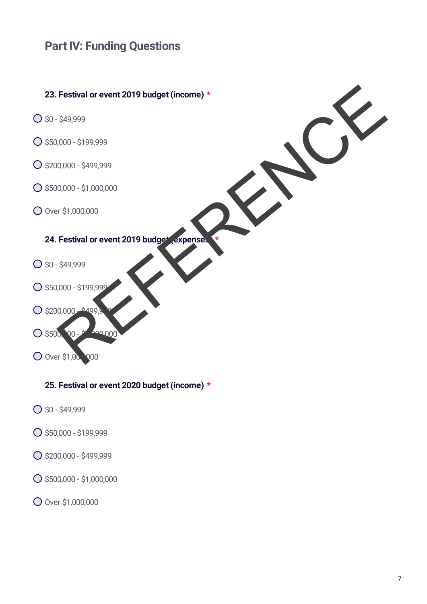# **Part IV: Funding Questions**



## **25. Festival or event 2020 budget (income) \***

- $O$  \$0 \$49,999
- \$50,000 \$199,999
- \$200,000 \$499,999
- \$500,000 \$1,000,000
- Over \$1,000,000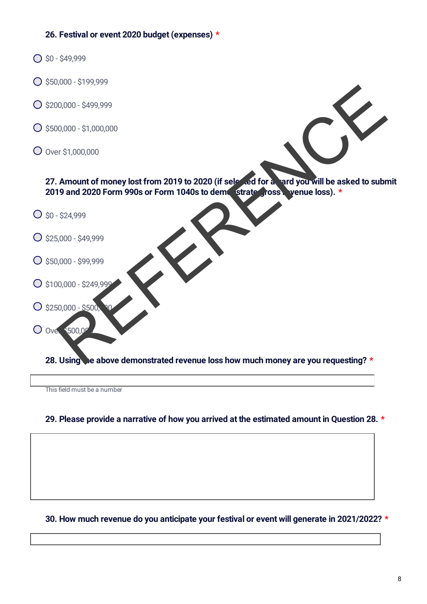### **26. Festival or event 2020 budget (expenses) \***

- $O$  \$0 \$49,999
- $\bigcirc$  \$50,000 \$199,999
- $O$ \$200,000 \$499,999
- \$500,000 \$1,000,000
- Over \$1,000,000

27. Amount of money lost from 2019 to 2020 (if selected for a vard you will be asked to submit 2019 and 2020 Form 990s or Form 1040s to demonstrate gross wenue loss). \* 0000-51000000<br>
REFERENCE CONTROL CONTROL CONTROL CONTROL CONTROL CONTROL CONTROL CONTROL CONTROL CONTROL CONTROL CONTROL CONTROL CONTROL CONTROL CONTROL CONTROL CONTROL CONTROL CONTROL CONTROL CONTROL CONTROL CONTROL CONTR

- $O$  \$0 \$24,999
- $O$ \$25,000 \$49,999
- $O$ \$50,000 \$99,999
- $O$  \$100,000 \$249,999
- $O$  \$250,000 \$500,
- $O$  Over  $$500.00$

**28. Using the above demonstrated revenue loss how much money are you requesting?** \*

This field must be a number

#### **29. Please provide a narrative of how you arrived at the estimated amount in Question 28. \***

#### **30. How much revenue do you anticipate your festival or event will generate in 2021/2022? \***